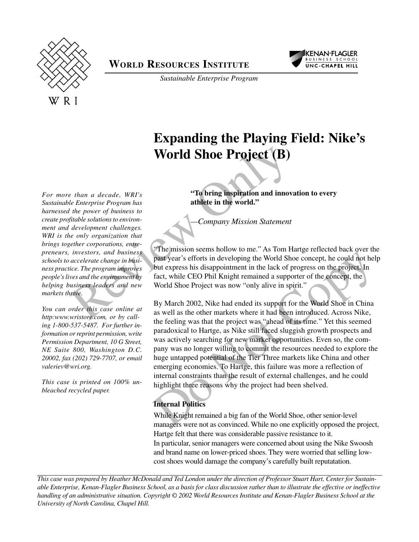



*Sustainable Enterprise Program*

# **Expanding the Playing Field: Nike's World Shoe Project (B)**

**"To bring inspiration and innovation to every athlete in the world."**

*—Company Mission Statement*

"The mission seems hollow to me." As Tom Hartge reflected back over the past year's efforts in developing the World Shoe concept, he could not help but express his disappointment in the lack of progress on the project. In fact, while CEO Phil Knight remained a supporter of the concept, the World Shoe Project was now "only alive in spirit."

Review Only Do Not Copy By March 2002, Nike had ended its support for the World Shoe in China as well as the other markets where it had been introduced. Across Nike, the feeling was that the project was "ahead of its time." Yet this seemed paradoxical to Hartge, as Nike still faced sluggish growth prospects and was actively searching for new market opportunities. Even so, the company was no longer willing to commit the resources needed to explore the huge untapped potential of the Tier Three markets like China and other emerging economies. To Hartge, this failure was more a reflection of internal constraints than the result of external challenges, and he could highlight three reasons why the project had been shelved.

## **Internal Politics**

While Knight remained a big fan of the World Shoe, other senior-level managers were not as convinced. While no one explicitly opposed the project, Hartge felt that there was considerable passive resistance to it. In particular, senior managers were concerned about using the Nike Swoosh and brand name on lower-priced shoes. They were worried that selling lowcost shoes would damage the company's carefully built reputatation.

*This case was prepared by Heather McDonald and Ted London under the direction of Professor Stuart Hart, Center for Sustainable Enterprise, Kenan-Flagler Business School, as a basis for class discussion rather than to illustrate the effective or ineffective handling of an administrative situation. Copyright © 2002 World Resources Institute and Kenan-Flagler Business School at the*

*For more than a decade, WRI's Sustainable Enterprise Program has harnessed the power of business to create profitable solutions to environment and development challenges. WRI is the only organization that brings together corporations, entrepreneurs, investors, and business schools to accelerate change in business practice. The program improves people's lives and the environment by helping business leaders and new markets thrive.* **UNIVERTY Solution Constant Carolina, System and System Carolina (The Carolina, Chapel Hill, The Carolina Carolina, Chapel Hill, This case is princed on** *UNIVERTY CAROLINA Constant Carolina Carolina Carolina (Chapel Hill,* 

*You can order this case online at* http:www.wristore.com, or by call*ing 1-800-537-5487. For further information or reprint permission, write Permission Department, 10 G Street, NE Suite 800, Washington D.C. 20002, fax (202) 729-7707, or email valeriev@wri.org.*

*This case is printed on 100% unbleached recycled paper.*